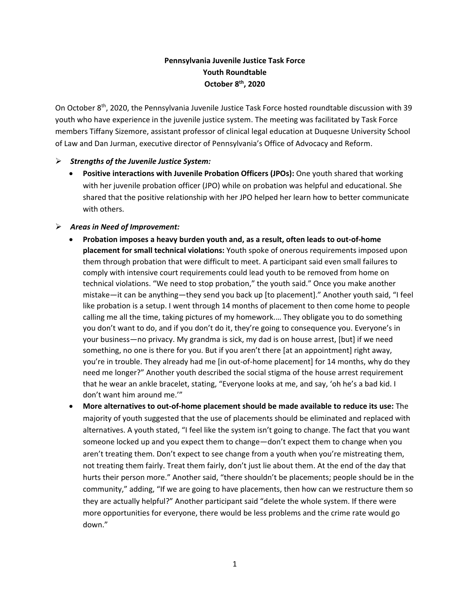# **Pennsylvania Juvenile Justice Task Force Youth Roundtable October 8th, 2020**

On October 8th, 2020, the Pennsylvania Juvenile Justice Task Force hosted roundtable discussion with 39 youth who have experience in the juvenile justice system. The meeting was facilitated by Task Force members Tiffany Sizemore, assistant professor of clinical legal education at Duquesne University School of Law and Dan Jurman, executive director of Pennsylvania's Office of Advocacy and Reform.

### ➢ *Strengths of the Juvenile Justice System:*

• **Positive interactions with Juvenile Probation Officers (JPOs):** One youth shared that working with her juvenile probation officer (JPO) while on probation was helpful and educational. She shared that the positive relationship with her JPO helped her learn how to better communicate with others.

#### ➢ *Areas in Need of Improvement:*

- **Probation imposes a heavy burden youth and, as a result, often leads to out-of-home placement for small technical violations:** Youth spoke of onerous requirements imposed upon them through probation that were difficult to meet. A participant said even small failures to comply with intensive court requirements could lead youth to be removed from home on technical violations. "We need to stop probation," the youth said." Once you make another mistake—it can be anything—they send you back up [to placement]." Another youth said, "I feel like probation is a setup. I went through 14 months of placement to then come home to people calling me all the time, taking pictures of my homework.… They obligate you to do something you don't want to do, and if you don't do it, they're going to consequence you. Everyone's in your business—no privacy. My grandma is sick, my dad is on house arrest, [but] if we need something, no one is there for you. But if you aren't there [at an appointment] right away, you're in trouble. They already had me [in out-of-home placement] for 14 months, why do they need me longer?" Another youth described the social stigma of the house arrest requirement that he wear an ankle bracelet, stating, "Everyone looks at me, and say, 'oh he's a bad kid. I don't want him around me.'"
- **More alternatives to out-of-home placement should be made available to reduce its use:** The majority of youth suggested that the use of placements should be eliminated and replaced with alternatives. A youth stated, "I feel like the system isn't going to change. The fact that you want someone locked up and you expect them to change—don't expect them to change when you aren't treating them. Don't expect to see change from a youth when you're mistreating them, not treating them fairly. Treat them fairly, don't just lie about them. At the end of the day that hurts their person more." Another said, "there shouldn't be placements; people should be in the community," adding, "If we are going to have placements, then how can we restructure them so they are actually helpful?" Another participant said "delete the whole system. If there were more opportunities for everyone, there would be less problems and the crime rate would go down."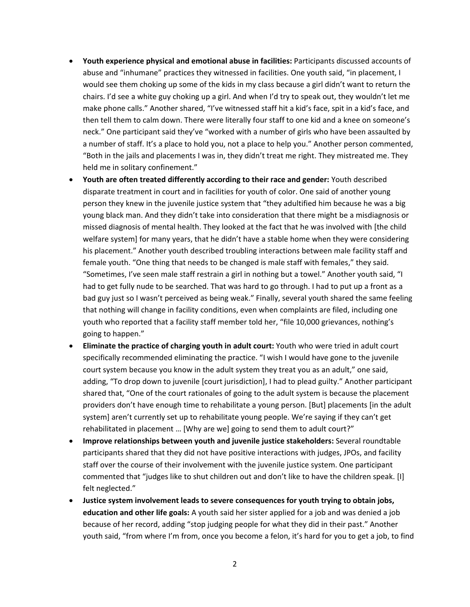- **Youth experience physical and emotional abuse in facilities:** Participants discussed accounts of abuse and "inhumane" practices they witnessed in facilities. One youth said, "in placement, I would see them choking up some of the kids in my class because a girl didn't want to return the chairs. I'd see a white guy choking up a girl. And when I'd try to speak out, they wouldn't let me make phone calls." Another shared, "I've witnessed staff hit a kid's face, spit in a kid's face, and then tell them to calm down. There were literally four staff to one kid and a knee on someone's neck." One participant said they've "worked with a number of girls who have been assaulted by a number of staff. It's a place to hold you, not a place to help you." Another person commented, "Both in the jails and placements I was in, they didn't treat me right. They mistreated me. They held me in solitary confinement."
- **Youth are often treated differently according to their race and gender:** Youth described disparate treatment in court and in facilities for youth of color. One said of another young person they knew in the juvenile justice system that "they adultified him because he was a big young black man. And they didn't take into consideration that there might be a misdiagnosis or missed diagnosis of mental health. They looked at the fact that he was involved with [the child welfare system] for many years, that he didn't have a stable home when they were considering his placement." Another youth described troubling interactions between male facility staff and female youth. "One thing that needs to be changed is male staff with females," they said. "Sometimes, I've seen male staff restrain a girl in nothing but a towel." Another youth said, "I had to get fully nude to be searched. That was hard to go through. I had to put up a front as a bad guy just so I wasn't perceived as being weak." Finally, several youth shared the same feeling that nothing will change in facility conditions, even when complaints are filed, including one youth who reported that a facility staff member told her, "file 10,000 grievances, nothing's going to happen."
- **Eliminate the practice of charging youth in adult court:** Youth who were tried in adult court specifically recommended eliminating the practice. "I wish I would have gone to the juvenile court system because you know in the adult system they treat you as an adult," one said, adding, "To drop down to juvenile [court jurisdiction], I had to plead guilty." Another participant shared that, "One of the court rationales of going to the adult system is because the placement providers don't have enough time to rehabilitate a young person. [But] placements [in the adult system] aren't currently set up to rehabilitate young people. We're saying if they can't get rehabilitated in placement … [Why are we] going to send them to adult court?"
- **Improve relationships between youth and juvenile justice stakeholders:** Several roundtable participants shared that they did not have positive interactions with judges, JPOs, and facility staff over the course of their involvement with the juvenile justice system. One participant commented that "judges like to shut children out and don't like to have the children speak. [I] felt neglected."
- **Justice system involvement leads to severe consequences for youth trying to obtain jobs, education and other life goals:** A youth said her sister applied for a job and was denied a job because of her record, adding "stop judging people for what they did in their past." Another youth said, "from where I'm from, once you become a felon, it's hard for you to get a job, to find